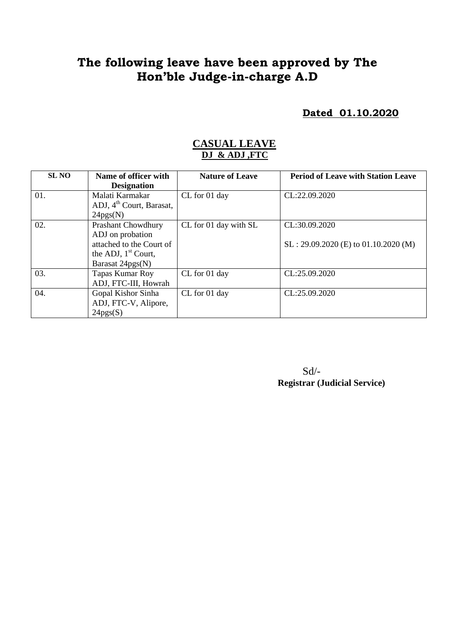# **The following leave have been approved by The Hon'ble Judge-in-charge A.D**

**Dated 01.10.2020**

#### **CASUAL LEAVE DJ & ADJ ,FTC**

| <b>SL NO</b> | Name of officer with                 | <b>Nature of Leave</b> | <b>Period of Leave with Station Leave</b> |
|--------------|--------------------------------------|------------------------|-------------------------------------------|
|              | <b>Designation</b>                   |                        |                                           |
| 01.          | Malati Karmakar                      | CL for 01 day          | CL:22.09.2020                             |
|              | ADJ, 4 <sup>th</sup> Court, Barasat, |                        |                                           |
|              | 24pgs(N)                             |                        |                                           |
| 02.          | <b>Prashant Chowdhury</b>            | CL for 01 day with SL  | CL:30.09.2020                             |
|              | ADJ on probation                     |                        |                                           |
|              | attached to the Court of             |                        | $SL: 29.09.2020$ (E) to 01.10.2020 (M)    |
|              | the ADJ, $1st$ Court,                |                        |                                           |
|              | Barasat 24pgs(N)                     |                        |                                           |
| 03.          | Tapas Kumar Roy                      | CL for 01 day          | CL:25.09.2020                             |
|              | ADJ, FTC-III, Howrah                 |                        |                                           |
| 04.          | Gopal Kishor Sinha                   | CL for 01 day          | CL:25.09.2020                             |
|              | ADJ, FTC-V, Alipore,                 |                        |                                           |
|              | 24pgs(S)                             |                        |                                           |

Sd/- **Registrar (Judicial Service)**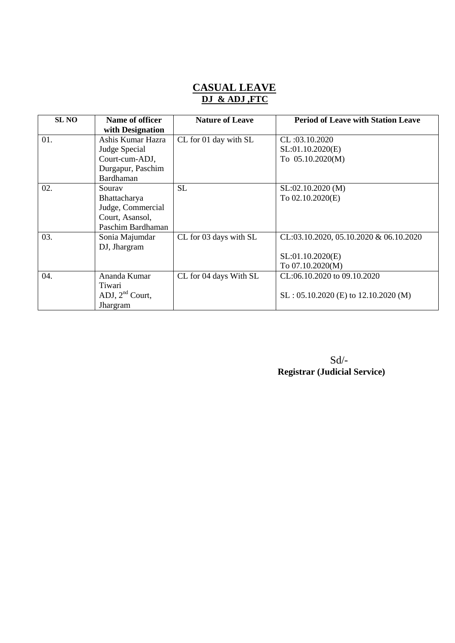#### **CASUAL LEAVE DJ & ADJ ,FTC**

| <b>SL NO</b> | Name of officer   | <b>Nature of Leave</b> | <b>Period of Leave with Station Leave</b> |
|--------------|-------------------|------------------------|-------------------------------------------|
|              | with Designation  |                        |                                           |
| 01.          | Ashis Kumar Hazra | CL for 01 day with SL  | CL:03.10.2020                             |
|              | Judge Special     |                        | SL:01.10.2020(E)                          |
|              | Court-cum-ADJ,    |                        | To 05.10.2020(M)                          |
|              | Durgapur, Paschim |                        |                                           |
|              | Bardhaman         |                        |                                           |
| 02.          | Souray            | <b>SL</b>              | SL:02.10.2020 (M)                         |
|              | Bhattacharya      |                        | To 02.10.2020(E)                          |
|              | Judge, Commercial |                        |                                           |
|              | Court, Asansol,   |                        |                                           |
|              | Paschim Bardhaman |                        |                                           |
| 03.          | Sonia Majumdar    | CL for 03 days with SL | CL:03.10.2020, 05.10.2020 & 06.10.2020    |
|              | DJ, Jhargram      |                        |                                           |
|              |                   |                        | SL:01.10.2020(E)                          |
|              |                   |                        | To 07.10.2020(M)                          |
| 04.          | Ananda Kumar      | CL for 04 days With SL | CL:06.10.2020 to 09.10.2020               |
|              | Tiwari            |                        |                                           |
|              | ADJ, $2nd$ Court, |                        | $SL: 05.10.2020$ (E) to 12.10.2020 (M)    |
|              | Jhargram          |                        |                                           |

Sd/- **Registrar (Judicial Service)**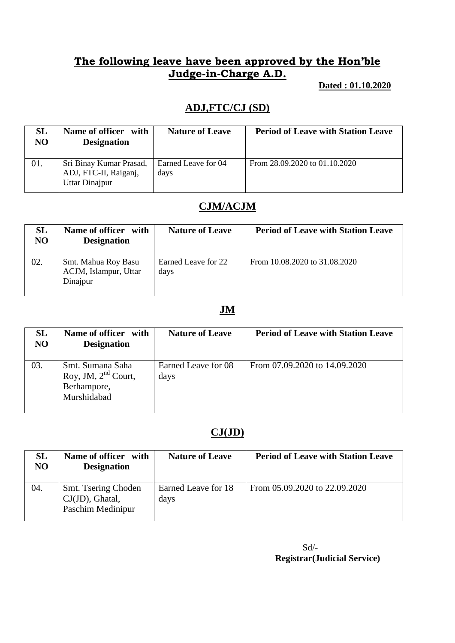### **The following leave have been approved by the Hon'ble Judge-in-Charge A.D.**

 **Dated : 01.10.2020**

## **ADJ,FTC/CJ (SD)**

| <b>SL</b><br>NO. | <b>Name of officer</b><br>with<br><b>Designation</b>               | <b>Nature of Leave</b>      | <b>Period of Leave with Station Leave</b> |
|------------------|--------------------------------------------------------------------|-----------------------------|-------------------------------------------|
| 01.              | Sri Binay Kumar Prasad,<br>ADJ, FTC-II, Raiganj,<br>Uttar Dinajpur | Earned Leave for 04<br>days | From 28.09.2020 to 01.10.2020             |

### **CJM/ACJM**

| SL<br>NO | Name of officer<br>with<br><b>Designation</b>            | <b>Nature of Leave</b>      | <b>Period of Leave with Station Leave</b> |
|----------|----------------------------------------------------------|-----------------------------|-------------------------------------------|
| 02.      | Smt. Mahua Roy Basu<br>ACJM, Islampur, Uttar<br>Dinajpur | Earned Leave for 22<br>days | From 10.08.2020 to 31.08.2020             |

### **JM**

| <b>SL</b><br>N <sub>O</sub> | Name of officer with<br><b>Designation</b>                              | <b>Nature of Leave</b>      | <b>Period of Leave with Station Leave</b> |
|-----------------------------|-------------------------------------------------------------------------|-----------------------------|-------------------------------------------|
| 03.                         | Smt. Sumana Saha<br>Roy, JM, $2nd$ Court,<br>Berhampore,<br>Murshidabad | Earned Leave for 08<br>days | From 07.09.2020 to 14.09.2020             |

## **CJ(JD)**

| <b>SL</b><br>N <sub>O</sub> | Name of officer with<br><b>Designation</b>                     | <b>Nature of Leave</b>      | <b>Period of Leave with Station Leave</b> |
|-----------------------------|----------------------------------------------------------------|-----------------------------|-------------------------------------------|
| 04.                         | Smt. Tsering Choden<br>$CJ(JD)$ , Ghatal,<br>Paschim Medinipur | Earned Leave for 18<br>days | From 05.09.2020 to 22.09.2020             |